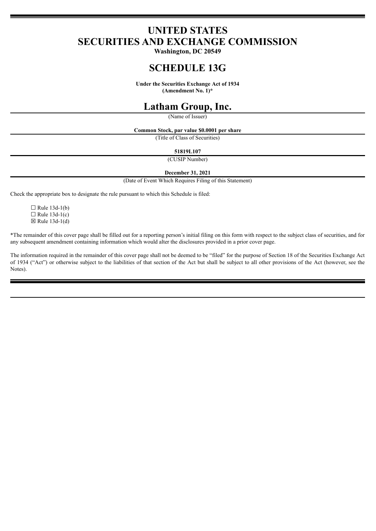# **UNITED STATES SECURITIES AND EXCHANGE COMMISSION**

**Washington, DC 20549**

# **SCHEDULE 13G**

**Under the Securities Exchange Act of 1934**

**(Amendment No. 1)\***

# **Latham Group, Inc.**

(Name of Issuer)

**Common Stock, par value \$0.0001 per share**

(Title of Class of Securities)

**51819L107**

(CUSIP Number)

#### **December 31, 2021**

(Date of Event Which Requires Filing of this Statement)

Check the appropriate box to designate the rule pursuant to which this Schedule is filed:

 $\Box$  Rule 13d-1(b)  $\Box$  Rule 13d-1(c)  $\boxtimes$  Rule 13d-1(d)

\*The remainder of this cover page shall be filled out for a reporting person's initial filing on this form with respect to the subject class of securities, and for any subsequent amendment containing information which would alter the disclosures provided in a prior cover page.

The information required in the remainder of this cover page shall not be deemed to be "filed" for the purpose of Section 18 of the Securities Exchange Act of 1934 ("Act") or otherwise subject to the liabilities of that section of the Act but shall be subject to all other provisions of the Act (however, see the Notes).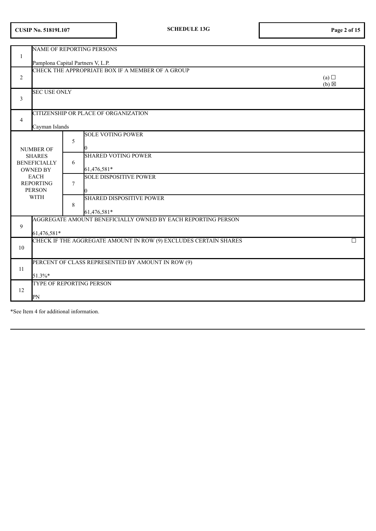| 1                                                                                                           | Pamplona Capital Partners V, L.P. |                | NAME OF REPORTING PERSONS                                        |                        |
|-------------------------------------------------------------------------------------------------------------|-----------------------------------|----------------|------------------------------------------------------------------|------------------------|
| 2                                                                                                           |                                   |                | CHECK THE APPROPRIATE BOX IF A MEMBER OF A GROUP                 | (a)<br>$(b) \boxtimes$ |
| 3                                                                                                           | <b>SEC USE ONLY</b>               |                |                                                                  |                        |
| $\overline{4}$                                                                                              | Cayman Islands                    |                | CITIZENSHIP OR PLACE OF ORGANIZATION                             |                        |
|                                                                                                             | NUMBER OF                         | 5              | <b>SOLE VOTING POWER</b>                                         |                        |
| <b>SHARES</b><br><b>BENEFICIALLY</b><br><b>OWNED BY</b><br><b>EACH</b><br><b>REPORTING</b><br><b>PERSON</b> |                                   | 6              | <b>SHARED VOTING POWER</b><br>61,476,581*                        |                        |
|                                                                                                             |                                   | $\overline{7}$ | <b>SOLE DISPOSITIVE POWER</b>                                    |                        |
|                                                                                                             | <b>WITH</b>                       | 8              | <b>SHARED DISPOSITIVE POWER</b><br>61,476,581*                   |                        |
| 9                                                                                                           | 61,476,581*                       |                | AGGREGATE AMOUNT BENEFICIALLY OWNED BY EACH REPORTING PERSON     |                        |
| 10                                                                                                          |                                   |                | CHECK IF THE AGGREGATE AMOUNT IN ROW (9) EXCLUDES CERTAIN SHARES | $\Box$                 |
| 11                                                                                                          | 51.3%*                            |                | PERCENT OF CLASS REPRESENTED BY AMOUNT IN ROW (9)                |                        |
| 12                                                                                                          | PN                                |                | TYPE OF REPORTING PERSON                                         |                        |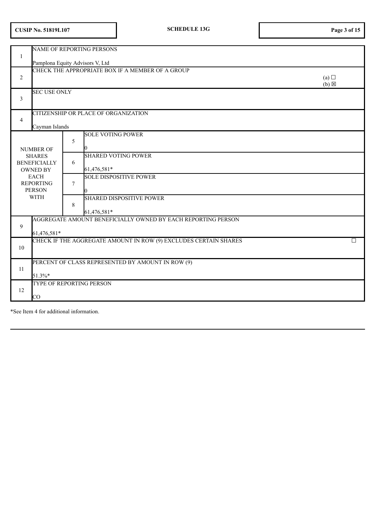| <b>CUSIP No. 51819L107</b> |  |  |  |
|----------------------------|--|--|--|
|----------------------------|--|--|--|

| 1                                                       | NAME OF REPORTING PERSONS<br>Pamplona Equity Advisors V, Ltd                |                        |
|---------------------------------------------------------|-----------------------------------------------------------------------------|------------------------|
| 2                                                       | CHECK THE APPROPRIATE BOX IF A MEMBER OF A GROUP                            | (a)<br>$(b) \boxtimes$ |
| $\mathfrak{Z}$                                          | <b>SEC USE ONLY</b>                                                         |                        |
| $\overline{4}$                                          | CITIZENSHIP OR PLACE OF ORGANIZATION<br>Cayman Islands                      |                        |
| <b>NUMBER OF</b>                                        | <b>SOLE VOTING POWER</b><br>5                                               |                        |
| <b>SHARES</b><br><b>BENEFICIALLY</b><br><b>OWNED BY</b> | <b>SHARED VOTING POWER</b><br>6<br>61,476,581*                              |                        |
| <b>EACH</b><br><b>REPORTING</b><br><b>PERSON</b>        | <b>SOLE DISPOSITIVE POWER</b><br>$\tau$                                     |                        |
| <b>WITH</b>                                             | <b>SHARED DISPOSITIVE POWER</b><br>8<br>61,476,581*                         |                        |
| 9                                                       | AGGREGATE AMOUNT BENEFICIALLY OWNED BY EACH REPORTING PERSON<br>61,476,581* |                        |
| 10                                                      | CHECK IF THE AGGREGATE AMOUNT IN ROW (9) EXCLUDES CERTAIN SHARES            | $\Box$                 |
| 11<br>51.3%*                                            | PERCENT OF CLASS REPRESENTED BY AMOUNT IN ROW (9)                           |                        |
| 12<br>$\rm CO$                                          | TYPE OF REPORTING PERSON                                                    |                        |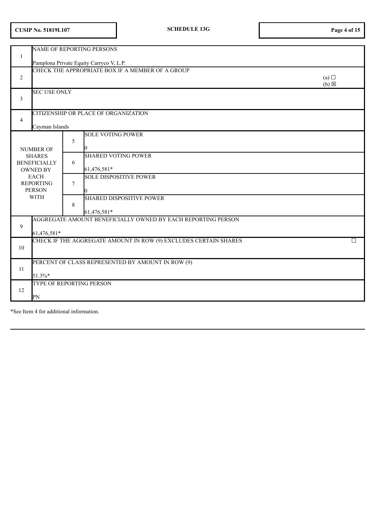|  |  | <b>CUSIP No. 51819L107</b> |
|--|--|----------------------------|
|--|--|----------------------------|

|                                                         |                                                  |                | NAME OF REPORTING PERSONS                                        |                        |  |
|---------------------------------------------------------|--------------------------------------------------|----------------|------------------------------------------------------------------|------------------------|--|
| 1                                                       | Pamplona Private Equity Carryco V, L.P.          |                |                                                                  |                        |  |
| 2                                                       |                                                  |                | CHECK THE APPROPRIATE BOX IF A MEMBER OF A GROUP                 | (a)<br>$(b) \boxtimes$ |  |
| 3                                                       | <b>SEC USE ONLY</b>                              |                |                                                                  |                        |  |
| 4                                                       | Cayman Islands                                   |                | CITIZENSHIP OR PLACE OF ORGANIZATION                             |                        |  |
|                                                         | <b>NUMBER OF</b>                                 | 5              | <b>SOLE VOTING POWER</b>                                         |                        |  |
| <b>SHARES</b><br><b>BENEFICIALLY</b><br><b>OWNED BY</b> |                                                  | 6              | <b>SHARED VOTING POWER</b><br>61,476,581*                        |                        |  |
|                                                         | <b>EACH</b><br><b>REPORTING</b><br><b>PERSON</b> | $\overline{7}$ | <b>SOLE DISPOSITIVE POWER</b>                                    |                        |  |
|                                                         | <b>WITH</b>                                      | 8              | <b>SHARED DISPOSITIVE POWER</b><br>61,476,581*                   |                        |  |
| 9                                                       | 61,476,581*                                      |                | AGGREGATE AMOUNT BENEFICIALLY OWNED BY EACH REPORTING PERSON     |                        |  |
| 10                                                      |                                                  |                | CHECK IF THE AGGREGATE AMOUNT IN ROW (9) EXCLUDES CERTAIN SHARES | □                      |  |
| 11                                                      | 51.3%*                                           |                | PERCENT OF CLASS REPRESENTED BY AMOUNT IN ROW (9)                |                        |  |
| 12                                                      | PN                                               |                | <b>TYPE OF REPORTING PERSON</b>                                  |                        |  |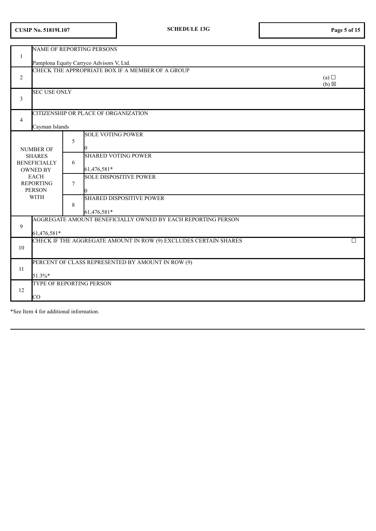| <b>CUSIP No. 51819L107</b> |  |  |  |
|----------------------------|--|--|--|
|----------------------------|--|--|--|

| -1             |                                                         | <b>NAME OF REPORTING PERSONS</b>         |                                                                  |                        |
|----------------|---------------------------------------------------------|------------------------------------------|------------------------------------------------------------------|------------------------|
|                |                                                         | Pamplona Equity Carryco Advisors V, Ltd. |                                                                  |                        |
| $\overline{2}$ |                                                         |                                          | CHECK THE APPROPRIATE BOX IF A MEMBER OF A GROUP                 | (a)<br>$(b) \boxtimes$ |
| 3              | <b>SEC USE ONLY</b>                                     |                                          |                                                                  |                        |
| $\overline{4}$ | Cayman Islands                                          | CITIZENSHIP OR PLACE OF ORGANIZATION     |                                                                  |                        |
|                | <b>NUMBER OF</b>                                        | <b>SOLE VOTING POWER</b><br>5            |                                                                  |                        |
|                | <b>SHARES</b><br><b>BENEFICIALLY</b><br><b>OWNED BY</b> | 6<br>61,476,581*                         | <b>SHARED VOTING POWER</b>                                       |                        |
|                | <b>EACH</b><br><b>REPORTING</b><br><b>PERSON</b>        | $\tau$                                   | <b>SOLE DISPOSITIVE POWER</b>                                    |                        |
|                | <b>WITH</b>                                             | 8<br>61,476,581*                         | <b>SHARED DISPOSITIVE POWER</b>                                  |                        |
| 9              | 61,476,581*                                             |                                          | AGGREGATE AMOUNT BENEFICIALLY OWNED BY EACH REPORTING PERSON     |                        |
| 10             |                                                         |                                          | CHECK IF THE AGGREGATE AMOUNT IN ROW (9) EXCLUDES CERTAIN SHARES | $\Box$                 |
| 11             | 51.3%*                                                  |                                          | PERCENT OF CLASS REPRESENTED BY AMOUNT IN ROW (9)                |                        |
| 12             | $\rm CO$                                                | <b>TYPE OF REPORTING PERSON</b>          |                                                                  |                        |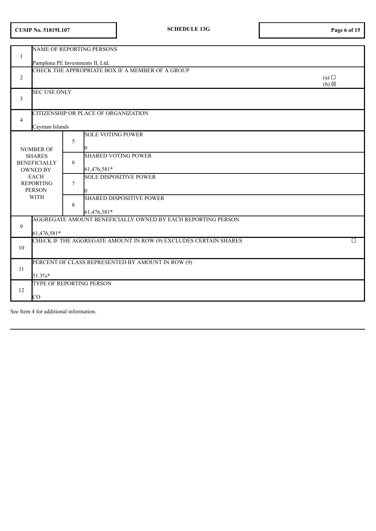| 1                                                       | NAME OF REPORTING PERSONS<br>Pamplona PE Investments II, Ltd.    |                        |
|---------------------------------------------------------|------------------------------------------------------------------|------------------------|
| 2                                                       | CHECK THE APPROPRIATE BOX IF A MEMBER OF A GROUP                 | (a)<br>$(b) \boxtimes$ |
| $\mathfrak{Z}$                                          | <b>SEC USE ONLY</b>                                              |                        |
| $\overline{4}$                                          | CITIZENSHIP OR PLACE OF ORGANIZATION<br>Cayman Islands           |                        |
| <b>NUMBER OF</b>                                        | <b>SOLE VOTING POWER</b><br>5                                    |                        |
| <b>SHARES</b><br><b>BENEFICIALLY</b><br><b>OWNED BY</b> | <b>SHARED VOTING POWER</b><br>6<br>61,476,581*                   |                        |
| <b>EACH</b><br><b>REPORTING</b><br><b>PERSON</b>        | <b>SOLE DISPOSITIVE POWER</b><br>$\tau$                          |                        |
| <b>WITH</b>                                             | <b>SHARED DISPOSITIVE POWER</b><br>8<br>61,476,581*              |                        |
| 9<br>61,476,581*                                        | AGGREGATE AMOUNT BENEFICIALLY OWNED BY EACH REPORTING PERSON     |                        |
| 10                                                      | CHECK IF THE AGGREGATE AMOUNT IN ROW (9) EXCLUDES CERTAIN SHARES | П                      |
| 11<br>51.3%*                                            | PERCENT OF CLASS REPRESENTED BY AMOUNT IN ROW (9)                |                        |
| 12<br>$\rm CO$                                          | TYPE OF REPORTING PERSON                                         |                        |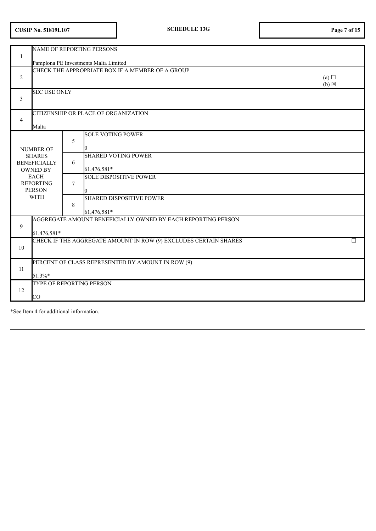| <b>CUSIP No. 51819L107</b> |  |
|----------------------------|--|
|----------------------------|--|

|                                                         |                                                  |                | NAME OF REPORTING PERSONS                                        |                        |  |
|---------------------------------------------------------|--------------------------------------------------|----------------|------------------------------------------------------------------|------------------------|--|
| 1                                                       | Pamplona PE Investments Malta Limited            |                |                                                                  |                        |  |
| 2                                                       |                                                  |                | CHECK THE APPROPRIATE BOX IF A MEMBER OF A GROUP                 | (a)<br>$(b) \boxtimes$ |  |
| 3                                                       | <b>SEC USE ONLY</b>                              |                |                                                                  |                        |  |
| 4                                                       | Malta                                            |                | CITIZENSHIP OR PLACE OF ORGANIZATION                             |                        |  |
|                                                         | <b>NUMBER OF</b>                                 | 5              | <b>SOLE VOTING POWER</b>                                         |                        |  |
| <b>SHARES</b><br><b>BENEFICIALLY</b><br><b>OWNED BY</b> |                                                  | 6              | <b>SHARED VOTING POWER</b><br>61,476,581*                        |                        |  |
|                                                         | <b>EACH</b><br><b>REPORTING</b><br><b>PERSON</b> | $\overline{7}$ | <b>SOLE DISPOSITIVE POWER</b>                                    |                        |  |
|                                                         | <b>WITH</b>                                      | 8              | <b>SHARED DISPOSITIVE POWER</b><br>61,476,581*                   |                        |  |
| 9                                                       | 61,476,581*                                      |                | AGGREGATE AMOUNT BENEFICIALLY OWNED BY EACH REPORTING PERSON     |                        |  |
| 10                                                      |                                                  |                | CHECK IF THE AGGREGATE AMOUNT IN ROW (9) EXCLUDES CERTAIN SHARES | □                      |  |
| 11                                                      | 51.3%*                                           |                | PERCENT OF CLASS REPRESENTED BY AMOUNT IN ROW (9)                |                        |  |
| 12                                                      | <b>TYPE OF REPORTING PERSON</b><br>$\rm CO$      |                |                                                                  |                        |  |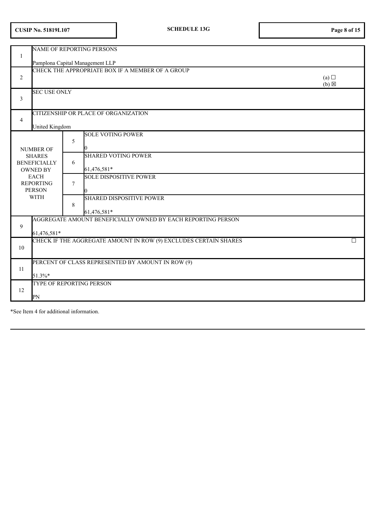| <b>CUSIP No. 51819L107</b> |  |  |
|----------------------------|--|--|
|----------------------------|--|--|

| 1                                                       |                                                  | <b>NAME OF REPORTING PERSONS</b>                                 |                          |  |  |  |
|---------------------------------------------------------|--------------------------------------------------|------------------------------------------------------------------|--------------------------|--|--|--|
|                                                         | Pamplona Capital Management LLP                  |                                                                  |                          |  |  |  |
| $\overline{c}$                                          |                                                  | CHECK THE APPROPRIATE BOX IF A MEMBER OF A GROUP                 | (a)<br>$(b)$ $\boxtimes$ |  |  |  |
| 3                                                       | <b>SEC USE ONLY</b>                              |                                                                  |                          |  |  |  |
| $\overline{4}$                                          | <b>United Kingdom</b>                            | CITIZENSHIP OR PLACE OF ORGANIZATION                             |                          |  |  |  |
|                                                         | <b>NUMBER OF</b>                                 | <b>SOLE VOTING POWER</b><br>5                                    |                          |  |  |  |
| <b>SHARES</b><br><b>BENEFICIALLY</b><br><b>OWNED BY</b> |                                                  | <b>SHARED VOTING POWER</b><br>6<br>61,476,581*                   |                          |  |  |  |
|                                                         | <b>EACH</b><br><b>REPORTING</b><br><b>PERSON</b> | <b>SOLE DISPOSITIVE POWER</b><br>$\overline{7}$                  |                          |  |  |  |
|                                                         | <b>WITH</b>                                      | <b>SHARED DISPOSITIVE POWER</b><br>8<br>61,476,581*              |                          |  |  |  |
| 9                                                       | 61,476,581*                                      | AGGREGATE AMOUNT BENEFICIALLY OWNED BY EACH REPORTING PERSON     |                          |  |  |  |
| 10                                                      |                                                  | CHECK IF THE AGGREGATE AMOUNT IN ROW (9) EXCLUDES CERTAIN SHARES | П                        |  |  |  |
| 11                                                      | 51.3%*                                           | PERCENT OF CLASS REPRESENTED BY AMOUNT IN ROW (9)                |                          |  |  |  |
| 12                                                      | PN                                               | TYPE OF REPORTING PERSON                                         |                          |  |  |  |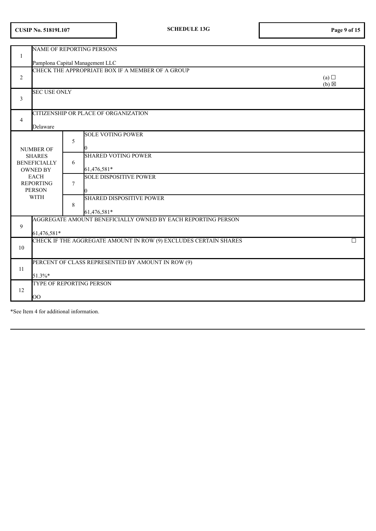| <b>CUSIP No. 51819L107</b> |
|----------------------------|
|----------------------------|

| 1                                                       | NAME OF REPORTING PERSONS                        |                |                                                                                     |                          |  |
|---------------------------------------------------------|--------------------------------------------------|----------------|-------------------------------------------------------------------------------------|--------------------------|--|
|                                                         |                                                  |                | Pamplona Capital Management LLC<br>CHECK THE APPROPRIATE BOX IF A MEMBER OF A GROUP |                          |  |
| $\overline{2}$                                          |                                                  |                |                                                                                     | (a)<br>$(b)$ $\boxtimes$ |  |
| 3                                                       | <b>SEC USE ONLY</b>                              |                |                                                                                     |                          |  |
| $\overline{4}$                                          | Delaware                                         |                | CITIZENSHIP OR PLACE OF ORGANIZATION                                                |                          |  |
|                                                         | <b>NUMBER OF</b>                                 | 5              | <b>SOLE VOTING POWER</b>                                                            |                          |  |
| <b>SHARES</b><br><b>BENEFICIALLY</b><br><b>OWNED BY</b> |                                                  | 6              | <b>SHARED VOTING POWER</b><br>61,476,581*                                           |                          |  |
|                                                         | <b>EACH</b><br><b>REPORTING</b><br><b>PERSON</b> | $\overline{7}$ | <b>SOLE DISPOSITIVE POWER</b>                                                       |                          |  |
|                                                         | <b>WITH</b>                                      | 8              | <b>SHARED DISPOSITIVE POWER</b><br>61,476,581*                                      |                          |  |
| 9                                                       | 61,476,581*                                      |                | AGGREGATE AMOUNT BENEFICIALLY OWNED BY EACH REPORTING PERSON                        |                          |  |
| 10                                                      |                                                  |                | CHECK IF THE AGGREGATE AMOUNT IN ROW (9) EXCLUDES CERTAIN SHARES                    | П                        |  |
| 11                                                      | 51.3%*                                           |                | PERCENT OF CLASS REPRESENTED BY AMOUNT IN ROW (9)                                   |                          |  |
| 12                                                      | $\rm OO$                                         |                | TYPE OF REPORTING PERSON                                                            |                          |  |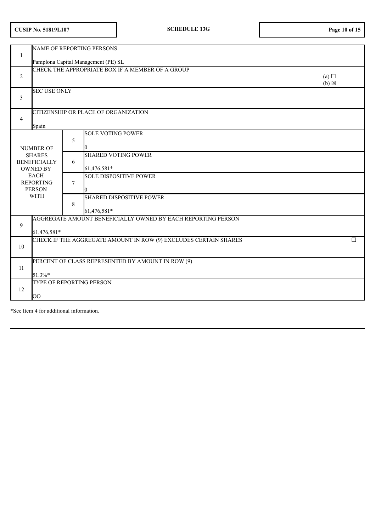| <b>CUSIP No. 51819L107</b> |  |
|----------------------------|--|
|----------------------------|--|

|                                                         |                                                  |        | <b>NAME OF REPORTING PERSONS</b>                                 |                        |  |  |
|---------------------------------------------------------|--------------------------------------------------|--------|------------------------------------------------------------------|------------------------|--|--|
| $\mathbf{1}$                                            | Pamplona Capital Management (PE) SL              |        |                                                                  |                        |  |  |
| $\overline{2}$                                          |                                                  |        | CHECK THE APPROPRIATE BOX IF A MEMBER OF A GROUP                 | (a)<br>$(b) \boxtimes$ |  |  |
| 3                                                       | <b>SEC USE ONLY</b>                              |        |                                                                  |                        |  |  |
| $\overline{4}$                                          | Spain                                            |        | CITIZENSHIP OR PLACE OF ORGANIZATION                             |                        |  |  |
|                                                         | <b>NUMBER OF</b>                                 | 5      | <b>SOLE VOTING POWER</b>                                         |                        |  |  |
| <b>SHARES</b><br><b>BENEFICIALLY</b><br><b>OWNED BY</b> |                                                  | 6      | <b>SHARED VOTING POWER</b><br>61,476,581*                        |                        |  |  |
|                                                         | <b>EACH</b><br><b>REPORTING</b><br><b>PERSON</b> | $\tau$ | <b>SOLE DISPOSITIVE POWER</b>                                    |                        |  |  |
|                                                         | <b>WITH</b>                                      | 8      | <b>SHARED DISPOSITIVE POWER</b><br>61,476,581*                   |                        |  |  |
| 9                                                       | 61,476,581*                                      |        | AGGREGATE AMOUNT BENEFICIALLY OWNED BY EACH REPORTING PERSON     |                        |  |  |
| 10                                                      |                                                  |        | CHECK IF THE AGGREGATE AMOUNT IN ROW (9) EXCLUDES CERTAIN SHARES | $\Box$                 |  |  |
| 11                                                      | 51.3%*                                           |        | PERCENT OF CLASS REPRESENTED BY AMOUNT IN ROW (9)                |                        |  |  |
| 12                                                      | OO                                               |        | TYPE OF REPORTING PERSON                                         |                        |  |  |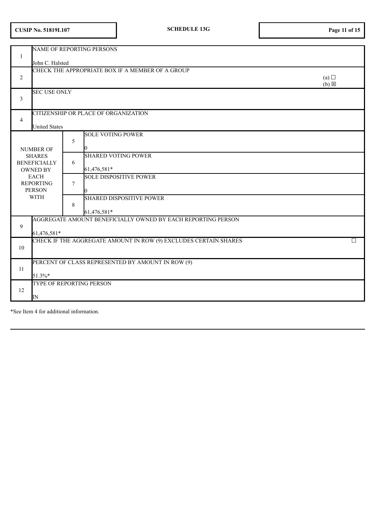| <b>CUSIP No. 51819L107</b> |  |  |  |
|----------------------------|--|--|--|
|----------------------------|--|--|--|

|                                        |                                                   |        | NAME OF REPORTING PERSONS                                        |                        |  |  |
|----------------------------------------|---------------------------------------------------|--------|------------------------------------------------------------------|------------------------|--|--|
| 1                                      | John C. Halsted                                   |        |                                                                  |                        |  |  |
|                                        | CHECK THE APPROPRIATE BOX IF A MEMBER OF A GROUP  |        |                                                                  |                        |  |  |
| 2                                      |                                                   |        |                                                                  | (a)<br>$(b) \boxtimes$ |  |  |
| 3                                      | <b>SEC USE ONLY</b>                               |        |                                                                  |                        |  |  |
| 4                                      | <b>United States</b>                              |        | CITIZENSHIP OR PLACE OF ORGANIZATION                             |                        |  |  |
|                                        |                                                   |        | <b>SOLE VOTING POWER</b>                                         |                        |  |  |
|                                        | <b>NUMBER OF</b>                                  | 5      |                                                                  |                        |  |  |
|                                        | <b>SHARES</b>                                     | 6      | <b>SHARED VOTING POWER</b>                                       |                        |  |  |
| <b>BENEFICIALLY</b><br><b>OWNED BY</b> |                                                   |        | 61,476,581*                                                      |                        |  |  |
|                                        | <b>EACH</b><br><b>REPORTING</b>                   | $\tau$ | <b>SOLE DISPOSITIVE POWER</b>                                    |                        |  |  |
|                                        | <b>PERSON</b>                                     |        |                                                                  |                        |  |  |
|                                        | <b>WITH</b>                                       | 8      | <b>SHARED DISPOSITIVE POWER</b>                                  |                        |  |  |
|                                        |                                                   |        | 61,476,581*                                                      |                        |  |  |
| 9                                      |                                                   |        | AGGREGATE AMOUNT BENEFICIALLY OWNED BY EACH REPORTING PERSON     |                        |  |  |
|                                        | 61,476,581*                                       |        | CHECK IF THE AGGREGATE AMOUNT IN ROW (9) EXCLUDES CERTAIN SHARES | □                      |  |  |
| 10                                     |                                                   |        |                                                                  |                        |  |  |
| 11                                     | PERCENT OF CLASS REPRESENTED BY AMOUNT IN ROW (9) |        |                                                                  |                        |  |  |
|                                        | 51.3%*                                            |        |                                                                  |                        |  |  |
| 12                                     | TYPE OF REPORTING PERSON                          |        |                                                                  |                        |  |  |
|                                        | IN                                                |        |                                                                  |                        |  |  |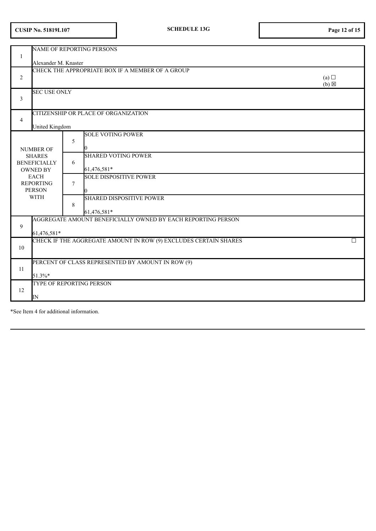| <b>CUSIP No. 51819L107</b> |  |  |  |
|----------------------------|--|--|--|
|----------------------------|--|--|--|

|                                                         |                                                                 |        | <b>NAME OF REPORTING PERSONS</b>                                 |                        |  |  |
|---------------------------------------------------------|-----------------------------------------------------------------|--------|------------------------------------------------------------------|------------------------|--|--|
| 1                                                       | Alexander M. Knaster                                            |        |                                                                  |                        |  |  |
| $\overline{2}$                                          |                                                                 |        | CHECK THE APPROPRIATE BOX IF A MEMBER OF A GROUP                 | (a)<br>$(b) \boxtimes$ |  |  |
| 3                                                       | <b>SEC USE ONLY</b>                                             |        |                                                                  |                        |  |  |
| 4                                                       | United Kingdom                                                  |        | CITIZENSHIP OR PLACE OF ORGANIZATION                             |                        |  |  |
|                                                         | <b>NUMBER OF</b>                                                | 5      | <b>SOLE VOTING POWER</b>                                         |                        |  |  |
| <b>SHARES</b><br><b>BENEFICIALLY</b><br><b>OWNED BY</b> |                                                                 | 6      | <b>SHARED VOTING POWER</b><br>61,476,581*                        |                        |  |  |
|                                                         | <b>EACH</b><br><b>REPORTING</b><br><b>PERSON</b><br><b>WITH</b> | $\tau$ | <b>SOLE DISPOSITIVE POWER</b>                                    |                        |  |  |
|                                                         |                                                                 | 8      | <b>SHARED DISPOSITIVE POWER</b><br>61,476,581*                   |                        |  |  |
| 9                                                       | 61,476,581*                                                     |        | AGGREGATE AMOUNT BENEFICIALLY OWNED BY EACH REPORTING PERSON     |                        |  |  |
| 10                                                      |                                                                 |        | CHECK IF THE AGGREGATE AMOUNT IN ROW (9) EXCLUDES CERTAIN SHARES | □                      |  |  |
| 11                                                      | PERCENT OF CLASS REPRESENTED BY AMOUNT IN ROW (9)<br>51.3%*     |        |                                                                  |                        |  |  |
| 12                                                      | <b>TYPE OF REPORTING PERSON</b><br>IN                           |        |                                                                  |                        |  |  |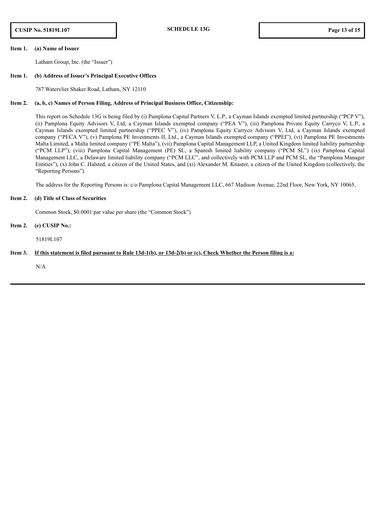#### **Item 1. (a) Name of Issuer**

Latham Group, Inc. (the "Issuer")

#### **Item 1. (b) Address of Issuer's Principal Executive Offices**

787 Watervliet Shaker Road, Latham, NY 12110

#### **Item 2. (a, b, c) Names of Person Filing, Address of Principal Business Office, Citizenship:**

This report on Schedule 13G is being filed by (i) Pamplona Capital Partners V, L.P., a Cayman Islands exempted limited partnership ("PCP V"), (ii) Pamplona Equity Advisors V, Ltd, a Cayman Islands exempted company ("PEA V"), (iii) Pamplona Private Equity Carryco V, L.P., a Cayman Islands exempted limited partnership ("PPEC V"), (iv) Pamplona Equity Carryco Advisors V, Ltd, a Cayman Islands exempted company ("PECA V"), (v) Pamplona PE Investments II, Ltd., a Cayman Islands exempted company ("PPEI"), (vi) Pamplona PE Investments Malta Limited, a Malta limited company ("PE Malta"), (vii) Pamplona Capital Management LLP, a United Kingdom limited liability partnership ("PCM LLP"), (viii) Pamplona Capital Management (PE) SL, a Spanish limited liability company ("PCM SL") (ix) Pamplona Capital Management LLC, a Delaware limited liability company ("PCM LLC", and collectively with PCM LLP and PCM SL, the "Pamplona Manager Entities"), (x) John C. Halsted, a citizen of the United States, and (xi) Alexander M. Knaster, a citizen of the United Kingdom (collectively, the "Reporting Persons").

The address for the Reporting Persons is: c/o Pamplona Capital Management LLC, 667 Madison Avenue, 22nd Floor, New York, NY 10065.

#### **Item 2. (d) Title of Class of Securities**

Common Stock, \$0.0001 par value per share (the "Common Stock")

## **Item 2. (e) CUSIP No.:**

51819L107

## Item 3. If this statement is filed pursuant to Rule  $13d-1(b)$ , or  $13d-2(b)$  or  $(c)$ , Check Whether the Person filing is a:

N/A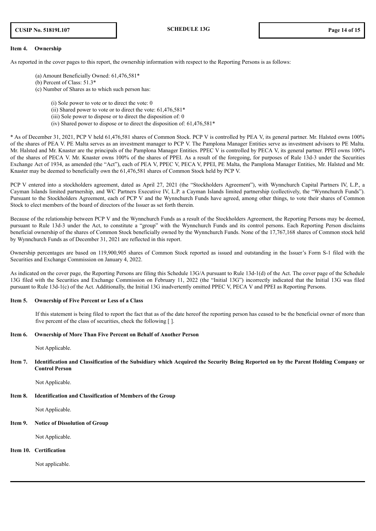#### **Item 4. Ownership**

As reported in the cover pages to this report, the ownership information with respect to the Reporting Persons is as follows:

- (a) Amount Beneficially Owned: 61,476,581\*
- (b) Percent of Class: 51.3\*
- (c) Number of Shares as to which such person has:
	- (i) Sole power to vote or to direct the vote: 0
	- (ii) Shared power to vote or to direct the vote:  $61,476,581*$
	- (iii) Sole power to dispose or to direct the disposition of: 0
	- (iv) Shared power to dispose or to direct the disposition of:  $61,476,581*$

\* As of December 31, 2021, PCP V held 61,476,581 shares of Common Stock. PCP V is controlled by PEA V, its general partner. Mr. Halsted owns 100% of the shares of PEA V. PE Malta serves as an investment manager to PCP V. The Pamplona Manager Entities serve as investment advisors to PE Malta. Mr. Halsted and Mr. Knaster are the principals of the Pamplona Manager Entities. PPEC V is controlled by PECA V, its general partner. PPEI owns 100% of the shares of PECA V. Mr. Knaster owns 100% of the shares of PPEI. As a result of the foregoing, for purposes of Rule 13d-3 under the Securities Exchange Act of 1934, as amended (the "Act"), each of PEA V, PPEC V, PECA V, PPEI, PE Malta, the Pamplona Manager Entities, Mr. Halsted and Mr. Knaster may be deemed to beneficially own the 61,476,581 shares of Common Stock held by PCP V.

PCP V entered into a stockholders agreement, dated as April 27, 2021 (the "Stockholders Agreement"), with Wynnchurch Capital Partners IV, L.P., a Cayman Islands limited partnership, and WC Partners Executive IV, L.P. a Cayman Islands limited partnership (collectively, the "Wynnchurch Funds"). Pursuant to the Stockholders Agreement, each of PCP V and the Wynnchurch Funds have agreed, among other things, to vote their shares of Common Stock to elect members of the board of directors of the Issuer as set forth therein.

Because of the relationship between PCP V and the Wynnchurch Funds as a result of the Stockholders Agreement, the Reporting Persons may be deemed, pursuant to Rule 13d-3 under the Act, to constitute a "group" with the Wynnchurch Funds and its control persons. Each Reporting Person disclaims beneficial ownership of the shares of Common Stock beneficially owned by the Wynnchurch Funds. None of the 17,767,168 shares of Common stock held by Wynnchurch Funds as of December 31, 2021 are reflected in this report.

Ownership percentages are based on 119,900,905 shares of Common Stock reported as issued and outstanding in the Issuer's Form S-1 filed with the Securities and Exchange Commission on January 4, 2022.

As indicated on the cover page, the Reporting Persons are filing this Schedule 13G/A pursuant to Rule 13d-1(d) of the Act. The cover page of the Schedule 13G filed with the Securities and Exchange Commission on February 11, 2022 (the "Initial 13G") incorrectly indicated that the Initial 13G was filed pursuant to Rule 13d-1(c) of the Act. Additionally, the Initial 13G inadvertently omitted PPEC V, PECA V and PPEI as Reporting Persons.

## **Item 5. Ownership of Five Percent or Less of a Class**

If this statement is being filed to report the fact that as of the date hereof the reporting person has ceased to be the beneficial owner of more than five percent of the class of securities, check the following [ ].

### **Item 6. Ownership of More Than Five Percent on Behalf of Another Person**

Not Applicable.

Item 7. Identification and Classification of the Subsidiary which Acquired the Security Being Reported on by the Parent Holding Company or **Control Person**

Not Applicable.

## **Item 8. Identification and Classification of Members of the Group**

Not Applicable.

## **Item 9. Notice of Dissolution of Group**

Not Applicable.

## **Item 10. Certification**

Not applicable.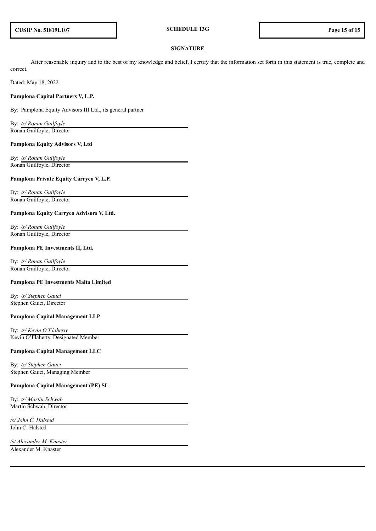## **SIGNATURE**

After reasonable inquiry and to the best of my knowledge and belief, I certify that the information set forth in this statement is true, complete and correct.

Dated: May 18, 2022

## **Pamplona Capital Partners V, L.P.**

By: Pamplona Equity Advisors III Ltd., its general partner

By: */s/ Ronan Guilfoyle* Ronan Guilfoyle, Director

#### **Pamplona Equity Advisors V, Ltd**

By: */s/ Ronan Guilfoyle* Ronan Guilfoyle, Director

#### **Pamplona Private Equity Carryco V, L.P.**

By: */s/ Ronan Guilfoyle* Ronan Guilfoyle, Director

#### **Pamplona Equity Carryco Advisors V, Ltd.**

By: */s/ Ronan Guilfoyle* Ronan Guilfoyle, Director

#### **Pamplona PE Investments II, Ltd.**

By: */s/ Ronan Guilfoyle* Ronan Guilfoyle, Director

#### **Pamplona PE Investments Malta Limited**

By: */s/ Stephen Gauci* Stephen Gauci, Director

#### **Pamplona Capital Management LLP**

By: */s/ Kevin O'Flaherty* Kevin O'Flaherty, Designated Member

# **Pamplona Capital Management LLC**

By: */s/ Stephen Gauci* Stephen Gauci, Managing Member

## **Pamplona Capital Management (PE) SL**

By: */s/ Martin Schwab* Martin Schwab, Director

*/s/ John C. Halsted* John C. Halsted

*/s/ Alexander M. Knaster*

Alexander M. Knaster